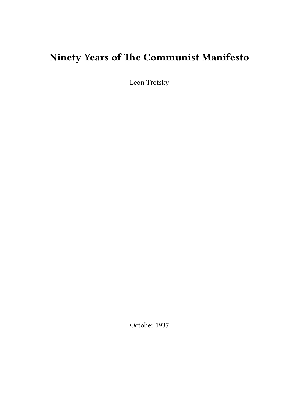# **Ninety Years of The Communist Manifesto**

Leon Trotsky

October 1937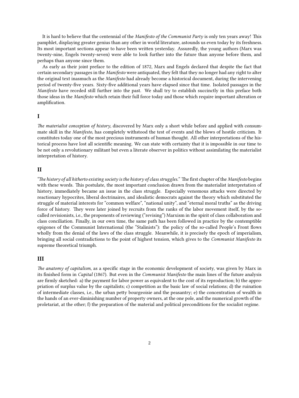It is hard to believe that the centennial of the *Manifesto of the Communist Party* is only ten years away! This pamphlet, displaying greater genius than any other in world literature, astounds us even today by its freshness. Its most important sections appear to have been written yesterday. Assuredly, the young authors (Marx was twenty-nine, Engels twenty-seven) were able to look further into the future than anyone before them, and perhaps than anyone since them.

As early as their joint preface to the edition of 1872, Marx and Engels declared that despite the fact that certain secondary passages in the *Manifesto* were antiquated, they felt that they no longer had any right to alter the original text inasmuch as the *Manifesto* had already become a historical document, during the intervening period of twenty-five years. Sixty-five additional years have elapsed since that time. Isolated passages in the *Manifesto* have receded still further into the past. We shall try to establish succinctly in this preface both those ideas in the *Manifesto* which retain their full force today and those which require important alteration or amplification.

# **I**

*The materialist conception of history*, discovered by Marx only a short while before and applied with consummate skill in the *Manifesto*, has completely withstood the test of events and the blows of hostile criticism. It constitutes today one of the most precious instruments of human thought. All other interpretations of the historical process have lost all scientific meaning. We can state with certainty that it is impossible in our time to be not only a revolutionary militant but even a literate observer in politics without assimilating the materialist interpretation of history.

## **II**

*"The history of all hitherto existing society is the history of class struggles."* The first chapter of the *Manifesto* begins with these words. This postulate, the most important conclusion drawn from the materialist interpretation of history, immediately became an issue in the class struggle. Especially venomous attacks were directed by reactionary hypocrites, liberal doctrinaires, and idealistic democrats against the theory which substituted the struggle of material interests for "common welfare", "national unity", and "eternal moral truths" as the driving force of history. They were later joined by recruits from the ranks of the labor movement itself, by the socalled revisionists, i.e., the proponents of reviewing ("revising") Marxism in the spirit of class collaboration and class conciliation. Finally, in our own time, the same path has been followed in practice by the contemptible epigones of the Communist International (the "Stalinists"): the policy of the so-called People's Front flows wholly from the denial of the laws of the class struggle. Meanwhile, it is precisely the epoch of imperialism, bringing all social contradictions to the point of highest tension, which gives to the *Communist Manifesto* its supreme theoretical triumph.

#### **III**

*The anatomy of capitalism*, as a specific stage in the economic development of society, was given by Marx in its finished form in *Capital* (1867). But even in the *Communist Manifesto* the main lines of the future analysis are firmly sketched: a) the payment for labor power as equivalent to the cost of its reproduction; b) the appropriation of surplus value by the capitalists; c) competition as the basic law of social relations; d) the ruination of intermediate classes, i.e., the urban petty bourgeoisie and the peasantry; e) the concentration of wealth in the hands of an ever-diminishing number of property owners, at the one pole, and the numerical growth of the proletariat, at the other; f) the preparation of the material and political preconditions for the socialist regime.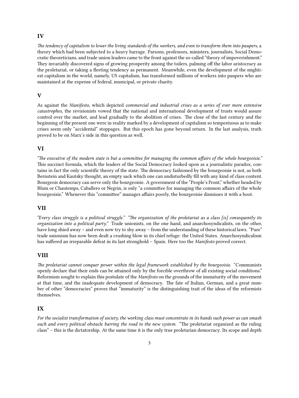# **IV**

*The tendency of capitalism to lower the living standards of the workers, and even to transform them into paupers*, a theory which had been subjected to a heavy barrage. Parsons, professors, ministers, journalists, Social Democratic theoreticians, and trade union leaders came to the front against the so-called "theory of impoverishment." They invariably discovered signs of growing prosperity among the toilers, palming off the labor aristocracy as the proletariat, or taking a fleeting tendency as permanent. Meanwhile, even the development of the mightiest capitalism in the world, namely, US capitalism, has transformed millions of workers into paupers who are maintained at the expense of federal, municipal, or private charity.

# **V**

As against the *Manifesto*, which depicted *commercial and industrial crises as a series of ever more extensive catastrophes*, the revisionists vowed that the national and international development of trusts would assure control over the market, and lead gradually to the abolition of crises. The close of the last century and the beginning of the present one were in reality marked by a development of capitalism so tempestuous as to make crises seem only "accidental" stoppages. But this epoch has gone beyond return. In the last analysis, truth proved to be on Marx's side in this question as well.

## **VI**

*"The executive of the modern state is but a committee for managing the common affairs of the whole bourgeoisie."* This succinct formula, which the leaders of the Social Democracy looked upon as a journalistic paradox, contains in fact the only scientific theory of the state. The democracy fashioned by the bourgeoisie is not, as both Bernstein and Kautsky thought, an empty sack which one can undisturbedly fill with any kind of class content. Bourgeois democracy can serve only the bourgeoisie. A government of the "People's Front," whether headed by Blum or Chautemps, Caballero or Negrin, is only "a committee for managing the common affairs of the whole bourgeoisie." Whenever this "committee" manages affairs poorly, the bourgeoisie dismisses it with a boot.

#### **VII**

*"Every class struggle is a political struggle." "The organization of the proletariat as a class [is] consequently its organization into a political party."* Trade unionists, on the one hand, and anarchosyndicalists, on the other, have long shied away – and even now try to shy away – from the understanding of these historical laws. "Pure" trade unionism has now been dealt a crushing blow in its chief refuge: the United States. Anarchosyndicalism has suffered an irreparable defeat in its last stronghold – Spain. Here too the *Manifesto* proved correct.

#### **VIII**

*The proletariat cannot conquer power within the legal framework established by the bourgeoisie.* "Communists openly declare that their ends can be attained only by the forcible overthrow of all existing social conditions." Reformism sought to explain this postulate of the *Manifesto* on the grounds of the immaturity of the movement at that time, and the inadequate development of democracy. The fate of Italian, German, and a great number of other "democracies" proves that "immaturity" is the distinguishing trait of the ideas of the reformists themselves.

## **IX**

*For the socialist transformation of society, the working class must concentrate in its hands such power as can smash each and every political obstacle barring the road to the new system.* "The proletariat organized as the ruling class" – this is the dictatorship. At the same time it is the only true proletarian democracy. Its scope and depth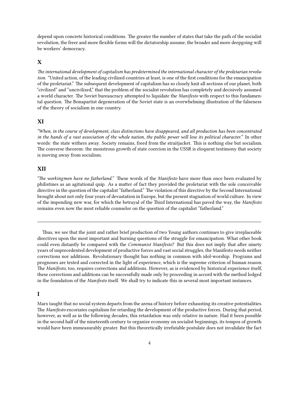depend upon concrete historical conditions. The greater the number of states that take the path of the socialist revolution, the freer and more flexible forms will the dictatorship assume, the broader and more deepgoing will be workers' democracy.

# **X**

*The international development of capitalism has predetermined the international character of the proletarian revolution.* "United action, of the leading civilized countries at least, is one of the first conditions for the emancipation of the proletariat." The subsequent development of capitalism has so closely knit all sections of our planet, both "civilized" and "uncivilized," that the problem of the socialist revolution has completely and decisively assumed a world character. The Soviet bureaucracy attempted to liquidate the *Manifesto* with respect to this fundamental question. The Bonapartist degeneration of the Soviet state is an overwhelming illustration of the falseness of the theory of socialism in one country.

# **XI**

*"When, in the course of development, class distinctions have disappeared, and all production has been concentrated in the hands of a vast association of the whole nation, the public power will lose its political character."* In other words: the state withers away. Society remains, freed from the straitjacket. This is nothing else but socialism. The converse theorem: the monstrous growth of state coercion in the USSR is eloquent testimony that society is moving away from socialism.

# **XII**

*"The workingmen have no fatherland."* These words of the *Manifesto* have more than once been evaluated by philistines as an agitational quip. As a matter of fact they provided the proletariat with the sole conceivable directive in the question of the capitalist "fatherland." The violation of this directive by the Second International brought about not only four years of devastation in Europe, but the present stagnation of world culture. In view of the impending new war, for which the betrayal of the Third International has paved the way, the *Manifesto* remains even now the most reliable counselor on the question of the capitalist "fatherland."

Thus, we see that the joint and rather brief production of two Young authors continues to give irreplaceable directives upon the most important and burning questions of the struggle for emancipation. What other book could even distantly be compared with the *Communist Manifesto*? But this does not imply that after ninety years of unprecedented development of productive forces and vast social struggles, the Manifesto needs neither corrections nor additions. Revolutionary thought has nothing in common with idol-worship. Programs and prognoses are tested and corrected in the light of experience, which is the supreme criterion of human reason. The *Manifesto*, too, requires corrections and additions. However, as is evidenced by historical experience itself, these corrections and additions can be successfully made only by proceeding in accord with the method lodged in the foundation of the *Manifesto* itself. We shall try to indicate this in several most important instances.

# **I**

Marx taught that no social system departs from the arena of history before exhausting its creative potentialities. The *Manifesto* excoriates capitalism for retarding the development of the productive forces. During that period, however, as well as in the following decades, this retardation was only relative in nature. Had it been possible in the second half of the nineteenth century to organize economy on socialist beginnings, its tempos of growth would have been immeasurably greater. But this theoretically irrefutable postulate does not invalidate the fact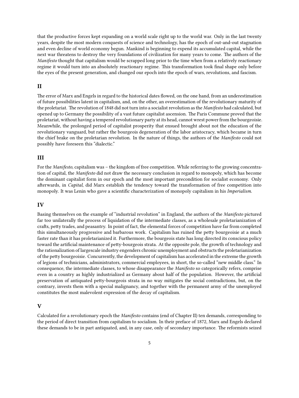that the productive forces kept expanding on a world scale right up to the world war. Only in the last twenty years, despite the most modern conquests of science and technology, has the epoch of out-and-out stagnation and even decline of world economy begun. Mankind is beginning to expend its accumulated capital, while the next war threatens to destroy the very foundations of civilization for many years to come. The authors of the *Manifesto* thought that capitalism would be scrapped long prior to the time when from a relatively reactionary regime it would turn into an absolutely reactionary regime. This transformation took final shape only before the eyes of the present generation, and changed our epoch into the epoch of wars, revolutions, and fascism.

# **II**

The error of Marx and Engels in regard to the historical dates flowed, on the one hand, from an underestimation of future possibilities latent in capitalism, and, on the other, an overestimation of the revolutionary maturity of the proletariat. The revolution of 1848 did not turn into a socialist revolution as the *Manifesto* had calculated, but opened up to Germany the possibility of a vast future capitalist ascension. The Paris Commune proved that the proletariat, without having a tempered revolutionary party at its head, cannot wrest power from the bourgeoisie. Meanwhile, the prolonged period of capitalist prosperity that ensued brought about not the education of the revolutionary vanguard, but rather the bourgeois degeneration of the labor aristocracy, which became in turn the chief brake on the proletarian revolution. In the nature of things, the authors of the *Manifesto* could not possibly have foreseen this "dialectic."

# **III**

For the *Manifesto*, capitalism was – the kingdom of free competition. While referring to the growing concentration of capital, the *Manifesto* did not draw the necessary conclusion in regard to monopoly, which has become the dominant capitalist form in our epoch and the most important precondition for socialist economy. Only afterwards, in *Capital*, did Marx establish the tendency toward the transformation of free competition into monopoly. It was Lenin who gave a scientific characterization of monopoly capitalism in his *Imperialism*.

# **IV**

Basing themselves on the example of "industrial revolution" in England, the authors of the *Manifesto* pictured far too unilaterally the process of liquidation of the intermediate classes, as a wholesale proletarianization of crafts, petty trades, and peasantry. In point of fact, the elemental forces of competition have far from completed this simultaneously progressive and barbarous work. Capitalism has ruined the petty bourgeoisie at a much faster rate than it has proletarianized it. Furthermore, the bourgeois state has long directed its conscious policy toward the artificial maintenance of petty-bourgeois strata. At the opposite pole, the growth of technology and the rationalization of largescale industry engenders chronic unemployment and obstructs the proletarianization of the petty bourgeoisie. Concurrently, the development of capitalism has accelerated in the extreme the growth of legions of technicians, administrators, commercial employees, in short, the so-called "new middle class." In consequence, the intermediate classes, to whose disappearance the *Manifesto* so categorically refers, comprise even in a country as highly industrialized as Germany about half of the population. However, the artificial preservation of antiquated petty-bourgeois strata in no way mitigates the social contradictions, but, on the contrary, invests them with a special malignancy, and together with the permanent army of the unemployed constitutes the most malevolent expression of the decay of capitalism.

#### **V**

Calculated for a revolutionary epoch the *Manifesto* contains (end of Chapter II) ten demands, corresponding to the period of direct transition from capitalism to socialism. In their preface of 1872, Marx and Engels declared these demands to be in part antiquated, and, in any case, only of secondary importance. The reformists seized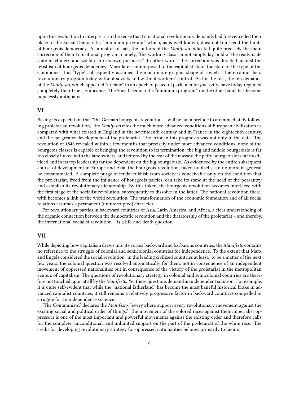upon this evaluation to interpret it in the sense that transitional revolutionary demands had forever ceded their place to the Social Democratic "minimum program," which, as is well known, does not transcend the limits of bourgeois democracy. As a matter of fact, the authors of the *Manifesto* indicated quite precisely the main correction of their transitional program, namely, "the working class cannot simply lay hold of the readymade state machinery and wield it for its own purposes." In other words, the correction was directed against the fetishism of bourgeois democracy. Marx later counterposed to the capitalist state, the state of the type of the Commune. This "type" subsequently assumed the much more graphic shape of soviets. There cannot be a revolutionary program today without soviets and without workers' control. As for the rest, the ten demands of the *Manifesto*, which appeared "archaic" in an epoch of peaceful parliamentary activity, have today regained completely their true significance. The Social Democratic "minimum program," on the other hand, has become hopelessly antiquated.

## **VI**

Basing its expectation that "the German bourgeois revolution … will be but a prelude to an immediately following proletarian revolution," the *Manifesto* cites the much more advanced conditions of European civilization as compared with what existed in England in the seventeenth century and in France in the eighteenth century, and the far greater development of the proletariat. The error in this prognosis was not only in the date. The revolution of 1848 revealed within a few months that precisely under more advanced conditions, none of the bourgeois classes is capable of bringing the revolution to its termination: the big and middle bourgeoisie is far too closely linked with the landowners, and fettered by the fear of the masses; the petty bourgeoisie is far too divided and in its top leadership far too dependent on the big bourgeoisie. As evidenced by the entire subsequent course of development in Europe and Asia, the bourgeois revolution, taken by itself, can no more in general be consummated. A complete purge of feudal rubbish from society is conceivable only on the condition that the proletariat, freed from the influence of bourgeois parties, can take its stand at the head of the peasantry and establish its revolutionary dictatorship. By this token, the bourgeois revolution becomes interlaced with the first stage of the socialist revolution, subsequently to dissolve in the latter. The national revolution therewith becomes a link of the world revolution. The transformation of the economic foundation and of all social relations assumes a permanent (uninterrupted) character.

For revolutionary parties in backward countries of Asia, Latin America, and Africa, a clear understanding of the organic connection between the democratic revolution and the dictatorship of the proletariat – and thereby, the international socialist revolution – is a life-and-death question.

## **VII**

While depicting how capitalism draws into its vortex backward and barbarous countries, the *Manifesto* contains no reference to the struggle of colonial and semicolonial countries for independence. To the extent that Marx and Engels considered the social revolution "in the leading civilized countries at least," to be a matter of the next few years, the colonial question was resolved automatically for them, not in consequence of an independent movement of oppressed nationalities but in consequence of the victory of the proletariat in the metropolitan centers of capitalism. The questions of revolutionary strategy in colonial and semicolonial countries are therefore not touched upon at all by the *Manifesto*. Yet these questions demand an independent solution. For example, it is quite self-evident that while the "national fatherland" has become the most baneful historical brake in advanced capitalist countries, it still remains a relatively progressive factor in backward countries compelled to struggle for an independent existence.

"The Communists," declares the *Manifesto*, "everywhere support every revolutionary movement against the existing social and political order of things." The movement of the colored races against their imperialist oppressors is one of the most important and powerful movements against the existing order and therefore calls for the complete, unconditional, and unlimited support on the part of the proletariat of the white race. The credit for developing revolutionary strategy for oppressed nationalities belongs primarily to Lenin.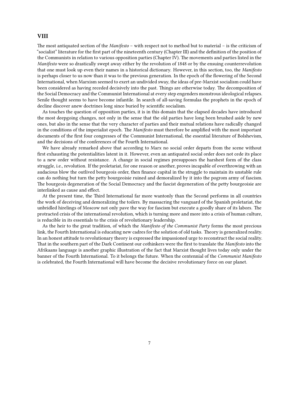# **VIII**

The most antiquated section of the *Manifesto* – with respect not to method but to material – is the criticism of "socialist" literature for the first part of the nineteenth century (Chapter III) and the definition of the position of the Communists in relation to various opposition parties (Chapter IV). The movements and parties listed in the *Manifesto* were so drastically swept away either by the revolution of 1848 or by the ensuing counterrevolution that one must look up even their names in a historical dictionary. However, in this section, too, the *Manifesto* is perhaps closer to us now than it was to the previous generation. In the epoch of the flowering of the Second International, when Marxism seemed to exert an undivided sway, the ideas of pre-Marxist socialism could have been considered as having receded decisively into the past. Things are otherwise today. The decomposition of the Social Democracy and the Communist International at every step engenders monstrous ideological relapses. Senile thought seems to have become infantile. In search of all-saving formulas the prophets in the epoch of decline discover anew doctrines long since buried by scientific socialism.

As touches the question of opposition parties, it is in this domain that the elapsed decades have introduced the most deepgoing changes, not only in the sense that the old parties have long been brushed aside by new ones, but also in the sense that the very character of parties and their mutual relations have radically changed in the conditions of the imperialist epoch. The *Manifesto* must therefore be amplified with the most important documents of the first four congresses of the Communist International, the essential literature of Bolshevism, and the decisions of the conferences of the Fourth International.

We have already remarked above that according to Marx no social order departs from the scene without first exhausting the potentialities latent in it. However, even an antiquated social order does not cede its place to a new order without resistance. A change in social regimes presupposes the harshest form of the class struggle, i.e., revolution. If the proletariat, for one reason or another, proves incapable of overthrowing with an audacious blow the outlived bourgeois order, then finance capital in the struggle to maintain its unstable rule can do nothing but turn the petty bourgeoisie ruined and demoralized by it into the pogrom army of fascism. The bourgeois degeneration of the Social Democracy and the fascist degeneration of the petty bourgeoisie are interlinked as cause and effect.

At the present time, the Third International far more wantonly than the Second performs in all countries the work of deceiving and demoralizing the toilers. By massacring the vanguard of the Spanish proletariat, the unbridled hirelings of Moscow not only pave the way for fascism but execute a goodly share of its labors. The protracted crisis of the international revolution, which is turning more and more into a crisis of human culture, is reducible in its essentials to the crisis of revolutionary leadership.

As the heir to the great tradition, of which the *Manifesto of the Communist Party* forms the most precious link, the Fourth International is educating new cadres for the solution of old tasks. Theory is generalized reality. In an honest attitude to revolutionary theory is expressed the impassioned urge to reconstruct the social reality. That in the southern part of the Dark Continent our cothinkers were the first to translate the *Manifesto* into the Afrikaans language is another graphic illustration of the fact that Marxist thought lives today only under the banner of the Fourth International. To it belongs the future. When the centennial of the *Communist Manifesto* is celebrated, the Fourth International will have become the decisive revolutionary force on our planet.